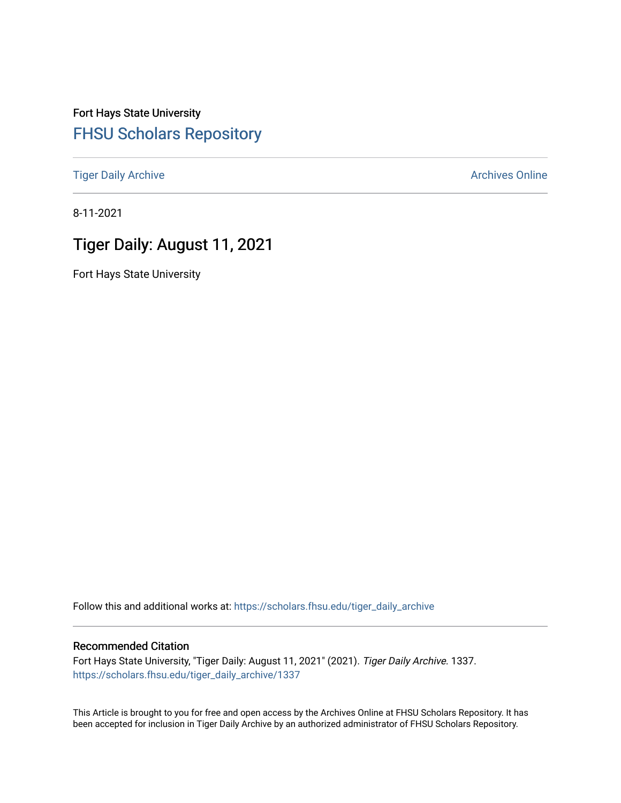Fort Hays State University [FHSU Scholars Repository](https://scholars.fhsu.edu/) 

[Tiger Daily Archive](https://scholars.fhsu.edu/tiger_daily_archive) **Archives** Online Archives Online

8-11-2021

# Tiger Daily: August 11, 2021

Fort Hays State University

Follow this and additional works at: [https://scholars.fhsu.edu/tiger\\_daily\\_archive](https://scholars.fhsu.edu/tiger_daily_archive?utm_source=scholars.fhsu.edu%2Ftiger_daily_archive%2F1337&utm_medium=PDF&utm_campaign=PDFCoverPages)

# Recommended Citation

Fort Hays State University, "Tiger Daily: August 11, 2021" (2021). Tiger Daily Archive. 1337. [https://scholars.fhsu.edu/tiger\\_daily\\_archive/1337](https://scholars.fhsu.edu/tiger_daily_archive/1337?utm_source=scholars.fhsu.edu%2Ftiger_daily_archive%2F1337&utm_medium=PDF&utm_campaign=PDFCoverPages)

This Article is brought to you for free and open access by the Archives Online at FHSU Scholars Repository. It has been accepted for inclusion in Tiger Daily Archive by an authorized administrator of FHSU Scholars Repository.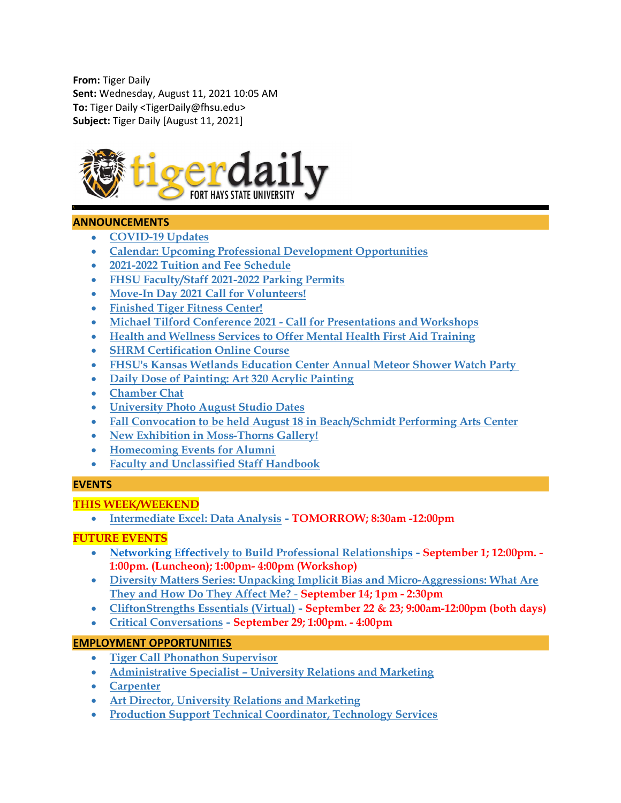From: Tiger Daily Sent: Wednesday, August 11, 2021 10:05 AM To: Tiger Daily <TigerDaily@fhsu.edu> Subject: Tiger Daily [August 11, 2021]



# ANNOUNCEMENTS

- COVID-19 Updates
- Calendar: Upcoming Professional Development Opportunities
- 2021-2022 Tuition and Fee Schedule
- FHSU Faculty/Staff 2021-2022 Parking Permits
- Move-In Day 2021 Call for Volunteers!
- Finished Tiger Fitness Center!
- Michael Tilford Conference 2021 Call for Presentations and Workshops
- Health and Wellness Services to Offer Mental Health First Aid Training
- SHRM Certification Online Course
- FHSU's Kansas Wetlands Education Center Annual Meteor Shower Watch Party
- Daily Dose of Painting: Art 320 Acrylic Painting
- Chamber Chat
- University Photo August Studio Dates
- Fall Convocation to be held August 18 in Beach/Schmidt Performing Arts Center
- New Exhibition in Moss-Thorns Gallery!
- Homecoming Events for Alumni
- Faculty and Unclassified Staff Handbook

## **EVENTS**

## THIS WEEK/WEEKEND

Intermediate Excel: Data Analysis - TOMORROW; 8:30am -12:00pm

# FUTURE EVENTS

- Networking Effectively to Build Professional Relationships September 1; 12:00pm. 1:00pm. (Luncheon); 1:00pm- 4:00pm (Workshop)
- Diversity Matters Series: Unpacking Implicit Bias and Micro-Aggressions: What Are They and How Do They Affect Me? - September 14; 1pm - 2:30pm
- CliftonStrengths Essentials (Virtual) September 22 & 23; 9:00am-12:00pm (both days)
- Critical Conversations September 29; 1:00pm. 4:00pm

## EMPLOYMENT OPPORTUNITIES

- Tiger Call Phonathon Supervisor
- Administrative Specialist University Relations and Marketing
- Carpenter
- Art Director, University Relations and Marketing
- Production Support Technical Coordinator, Technology Services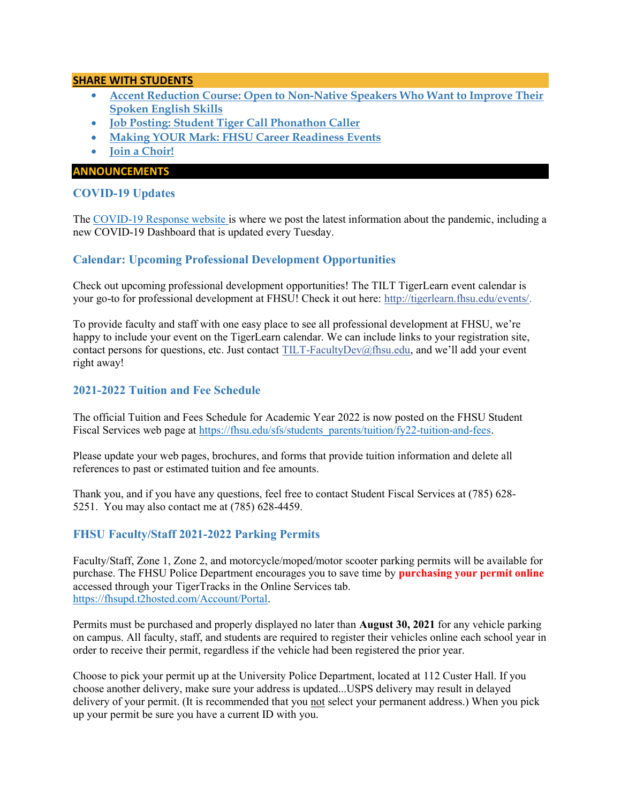## SHARE WITH STUDENTS

- Accent Reduction Course: Open to Non-Native Speakers Who Want to Improve Their Spoken English Skills
- Job Posting: Student Tiger Call Phonathon Caller
- Making YOUR Mark: FHSU Career Readiness Events
- Join a Choir!

#### ANNOUNCEMENTS

# COVID-19 Updates

The COVID-19 Response website is where we post the latest information about the pandemic, including a new COVID-19 Dashboard that is updated every Tuesday.

# Calendar: Upcoming Professional Development Opportunities

Check out upcoming professional development opportunities! The TILT TigerLearn event calendar is your go-to for professional development at FHSU! Check it out here: http://tigerlearn.fhsu.edu/events/.

To provide faculty and staff with one easy place to see all professional development at FHSU, we're happy to include your event on the TigerLearn calendar. We can include links to your registration site, contact persons for questions, etc. Just contact TILT-FacultyDev@fhsu.edu, and we'll add your event right away!

# 2021-2022 Tuition and Fee Schedule

The official Tuition and Fees Schedule for Academic Year 2022 is now posted on the FHSU Student Fiscal Services web page at https://fhsu.edu/sfs/students\_parents/tuition/fy22-tuition-and-fees.

Please update your web pages, brochures, and forms that provide tuition information and delete all references to past or estimated tuition and fee amounts.

Thank you, and if you have any questions, feel free to contact Student Fiscal Services at (785) 628- 5251. You may also contact me at (785) 628-4459.

## FHSU Faculty/Staff 2021-2022 Parking Permits

Faculty/Staff, Zone 1, Zone 2, and motorcycle/moped/motor scooter parking permits will be available for purchase. The FHSU Police Department encourages you to save time by **purchasing your permit online** accessed through your TigerTracks in the Online Services tab. https://fhsupd.t2hosted.com/Account/Portal.

Permits must be purchased and properly displayed no later than August 30, 2021 for any vehicle parking on campus. All faculty, staff, and students are required to register their vehicles online each school year in order to receive their permit, regardless if the vehicle had been registered the prior year.

Choose to pick your permit up at the University Police Department, located at 112 Custer Hall. If you choose another delivery, make sure your address is updated...USPS delivery may result in delayed delivery of your permit. (It is recommended that you not select your permanent address.) When you pick up your permit be sure you have a current ID with you.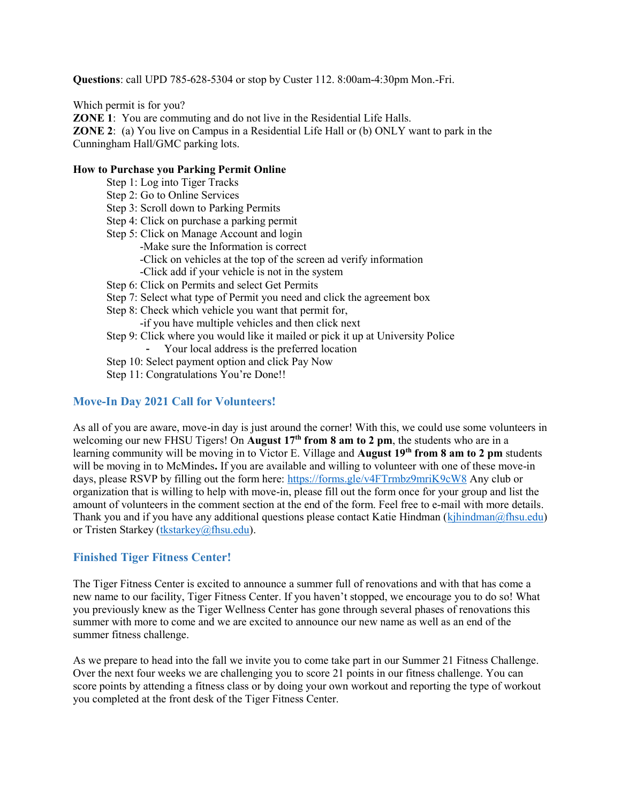Questions: call UPD 785-628-5304 or stop by Custer 112. 8:00am-4:30pm Mon.-Fri.

Which permit is for you?

ZONE 1: You are commuting and do not live in the Residential Life Halls.

ZONE 2: (a) You live on Campus in a Residential Life Hall or (b) ONLY want to park in the Cunningham Hall/GMC parking lots.

#### How to Purchase you Parking Permit Online

- Step 1: Log into Tiger Tracks
- Step 2: Go to Online Services
- Step 3: Scroll down to Parking Permits
- Step 4: Click on purchase a parking permit
- Step 5: Click on Manage Account and login -Make sure the Information is correct -Click on vehicles at the top of the screen ad verify information -Click add if your vehicle is not in the system Step 6: Click on Permits and select Get Permits
- Step 7: Select what type of Permit you need and click the agreement box
- Step 8: Check which vehicle you want that permit for,
	- -if you have multiple vehicles and then click next
- Step 9: Click where you would like it mailed or pick it up at University Police
	- Your local address is the preferred location
- Step 10: Select payment option and click Pay Now
- Step 11: Congratulations You're Done!!

# Move-In Day 2021 Call for Volunteers!

As all of you are aware, move-in day is just around the corner! With this, we could use some volunteers in welcoming our new FHSU Tigers! On August  $17<sup>th</sup>$  from 8 am to 2 pm, the students who are in a learning community will be moving in to Victor E. Village and **August 19th from 8 am to 2 pm** students will be moving in to McMindes. If you are available and willing to volunteer with one of these move-in days, please RSVP by filling out the form here: https://forms.gle/v4FTrmbz9mriK9cW8 Any club or organization that is willing to help with move-in, please fill out the form once for your group and list the amount of volunteers in the comment section at the end of the form. Feel free to e-mail with more details. Thank you and if you have any additional questions please contact Katie Hindman (kjhindman  $@$ fhsu.edu) or Tristen Starkey (tkstarkey@fhsu.edu).

# Finished Tiger Fitness Center!

The Tiger Fitness Center is excited to announce a summer full of renovations and with that has come a new name to our facility, Tiger Fitness Center. If you haven't stopped, we encourage you to do so! What you previously knew as the Tiger Wellness Center has gone through several phases of renovations this summer with more to come and we are excited to announce our new name as well as an end of the summer fitness challenge.

As we prepare to head into the fall we invite you to come take part in our Summer 21 Fitness Challenge. Over the next four weeks we are challenging you to score 21 points in our fitness challenge. You can score points by attending a fitness class or by doing your own workout and reporting the type of workout you completed at the front desk of the Tiger Fitness Center.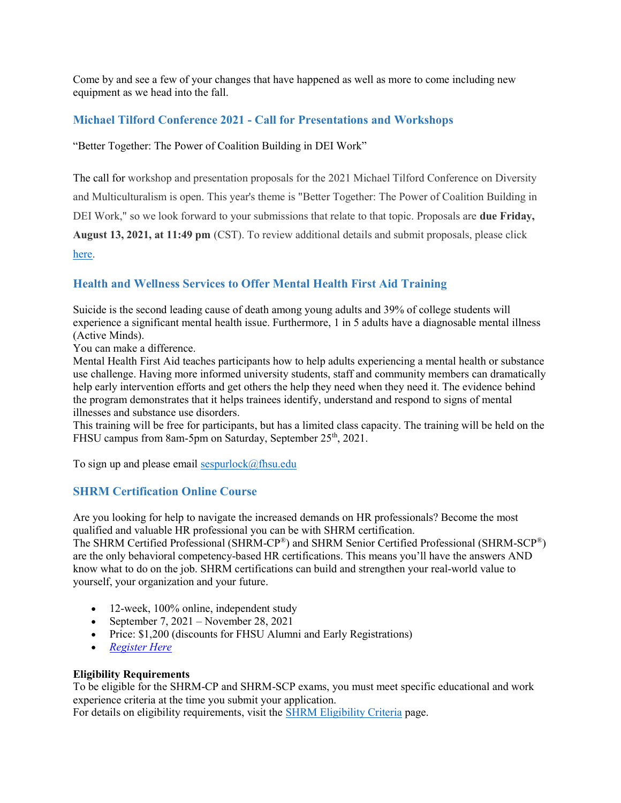Come by and see a few of your changes that have happened as well as more to come including new equipment as we head into the fall.

# Michael Tilford Conference 2021 - Call for Presentations and Workshops

## "Better Together: The Power of Coalition Building in DEI Work"

The call for workshop and presentation proposals for the 2021 Michael Tilford Conference on Diversity and Multiculturalism is open. This year's theme is "Better Together: The Power of Coalition Building in DEI Work," so we look forward to your submissions that relate to that topic. Proposals are **due Friday**, August 13, 2021, at 11:49 pm (CST). To review additional details and submit proposals, please click here.

# Health and Wellness Services to Offer Mental Health First Aid Training

Suicide is the second leading cause of death among young adults and 39% of college students will experience a significant mental health issue. Furthermore, 1 in 5 adults have a diagnosable mental illness (Active Minds).

You can make a difference.

Mental Health First Aid teaches participants how to help adults experiencing a mental health or substance use challenge. Having more informed university students, staff and community members can dramatically help early intervention efforts and get others the help they need when they need it. The evidence behind the program demonstrates that it helps trainees identify, understand and respond to signs of mental illnesses and substance use disorders.

This training will be free for participants, but has a limited class capacity. The training will be held on the FHSU campus from 8am-5pm on Saturday, September 25<sup>th</sup>, 2021.

To sign up and please email sespurlock $@$ fhsu.edu

# SHRM Certification Online Course

Are you looking for help to navigate the increased demands on HR professionals? Become the most qualified and valuable HR professional you can be with SHRM certification.

The SHRM Certified Professional (SHRM-CP®) and SHRM Senior Certified Professional (SHRM-SCP®) are the only behavioral competency-based HR certifications. This means you'll have the answers AND know what to do on the job. SHRM certifications can build and strengthen your real-world value to yourself, your organization and your future.

- 12-week, 100% online, independent study
- September 7,  $2021$  November 28, 2021
- Price: \$1,200 (discounts for FHSU Alumni and Early Registrations)
- Register Here

## Eligibility Requirements

To be eligible for the SHRM-CP and SHRM-SCP exams, you must meet specific educational and work experience criteria at the time you submit your application.

For details on eligibility requirements, visit the SHRM Eligibility Criteria page.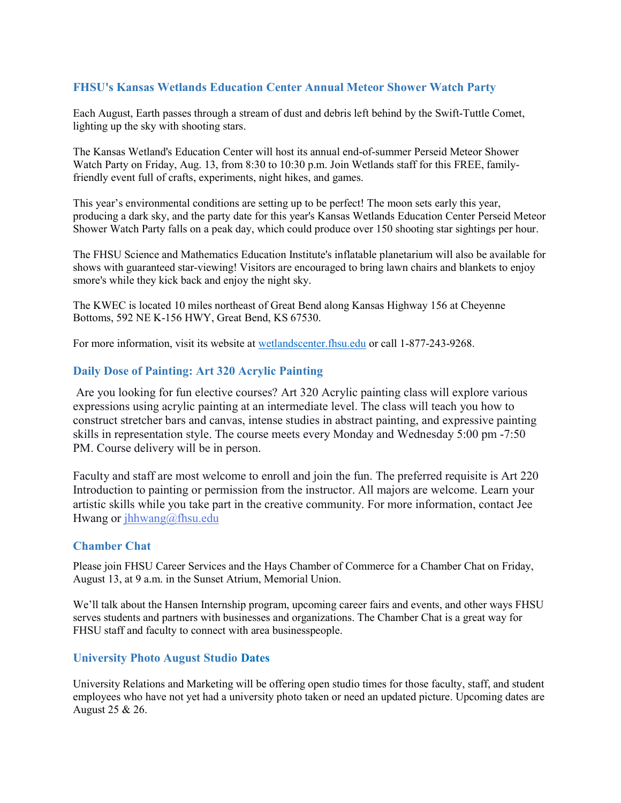# FHSU's Kansas Wetlands Education Center Annual Meteor Shower Watch Party

Each August, Earth passes through a stream of dust and debris left behind by the Swift-Tuttle Comet, lighting up the sky with shooting stars.

The Kansas Wetland's Education Center will host its annual end-of-summer Perseid Meteor Shower Watch Party on Friday, Aug. 13, from 8:30 to 10:30 p.m. Join Wetlands staff for this FREE, familyfriendly event full of crafts, experiments, night hikes, and games.

This year's environmental conditions are setting up to be perfect! The moon sets early this year, producing a dark sky, and the party date for this year's Kansas Wetlands Education Center Perseid Meteor Shower Watch Party falls on a peak day, which could produce over 150 shooting star sightings per hour.

The FHSU Science and Mathematics Education Institute's inflatable planetarium will also be available for shows with guaranteed star-viewing! Visitors are encouraged to bring lawn chairs and blankets to enjoy smore's while they kick back and enjoy the night sky.

The KWEC is located 10 miles northeast of Great Bend along Kansas Highway 156 at Cheyenne Bottoms, 592 NE K-156 HWY, Great Bend, KS 67530.

For more information, visit its website at wetlandscenter.fhsu.edu or call 1-877-243-9268.

# Daily Dose of Painting: Art 320 Acrylic Painting

 Are you looking for fun elective courses? Art 320 Acrylic painting class will explore various expressions using acrylic painting at an intermediate level. The class will teach you how to construct stretcher bars and canvas, intense studies in abstract painting, and expressive painting skills in representation style. The course meets every Monday and Wednesday 5:00 pm -7:50 PM. Course delivery will be in person.

Faculty and staff are most welcome to enroll and join the fun. The preferred requisite is Art 220 Introduction to painting or permission from the instructor. All majors are welcome. Learn your artistic skills while you take part in the creative community. For more information, contact Jee Hwang or jhhwang@fhsu.edu

## Chamber Chat

Please join FHSU Career Services and the Hays Chamber of Commerce for a Chamber Chat on Friday, August 13, at 9 a.m. in the Sunset Atrium, Memorial Union.

We'll talk about the Hansen Internship program, upcoming career fairs and events, and other ways FHSU serves students and partners with businesses and organizations. The Chamber Chat is a great way for FHSU staff and faculty to connect with area businesspeople.

## University Photo August Studio Dates

University Relations and Marketing will be offering open studio times for those faculty, staff, and student employees who have not yet had a university photo taken or need an updated picture. Upcoming dates are August 25 & 26.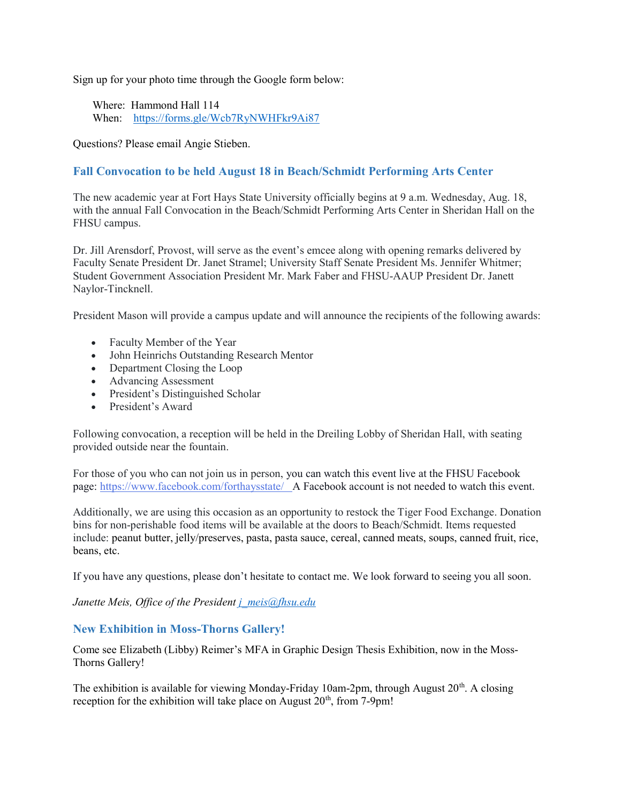Sign up for your photo time through the Google form below:

 Where: Hammond Hall 114 When: https://forms.gle/Wcb7RyNWHFkr9Ai87

Questions? Please email Angie Stieben.

# Fall Convocation to be held August 18 in Beach/Schmidt Performing Arts Center

The new academic year at Fort Hays State University officially begins at 9 a.m. Wednesday, Aug. 18, with the annual Fall Convocation in the Beach/Schmidt Performing Arts Center in Sheridan Hall on the FHSU campus.

Dr. Jill Arensdorf, Provost, will serve as the event's emcee along with opening remarks delivered by Faculty Senate President Dr. Janet Stramel; University Staff Senate President Ms. Jennifer Whitmer; Student Government Association President Mr. Mark Faber and FHSU-AAUP President Dr. Janett Naylor-Tincknell.

President Mason will provide a campus update and will announce the recipients of the following awards:

- Faculty Member of the Year
- John Heinrichs Outstanding Research Mentor
- Department Closing the Loop
- Advancing Assessment
- President's Distinguished Scholar
- President's Award

Following convocation, a reception will be held in the Dreiling Lobby of Sheridan Hall, with seating provided outside near the fountain.

For those of you who can not join us in person, you can watch this event live at the FHSU Facebook page: https://www.facebook.com/forthaysstate/ A Facebook account is not needed to watch this event.

Additionally, we are using this occasion as an opportunity to restock the Tiger Food Exchange. Donation bins for non-perishable food items will be available at the doors to Beach/Schmidt. Items requested include: peanut butter, jelly/preserves, pasta, pasta sauce, cereal, canned meats, soups, canned fruit, rice, beans, etc.

If you have any questions, please don't hesitate to contact me. We look forward to seeing you all soon.

Janette Meis, Office of the President  $i$  meis  $\widehat{\omega}$ fhsu.edu

## New Exhibition in Moss-Thorns Gallery!

Come see Elizabeth (Libby) Reimer's MFA in Graphic Design Thesis Exhibition, now in the Moss-Thorns Gallery!

The exhibition is available for viewing Monday-Friday 10am-2pm, through August  $20^{th}$ . A closing reception for the exhibition will take place on August  $20<sup>th</sup>$ , from 7-9pm!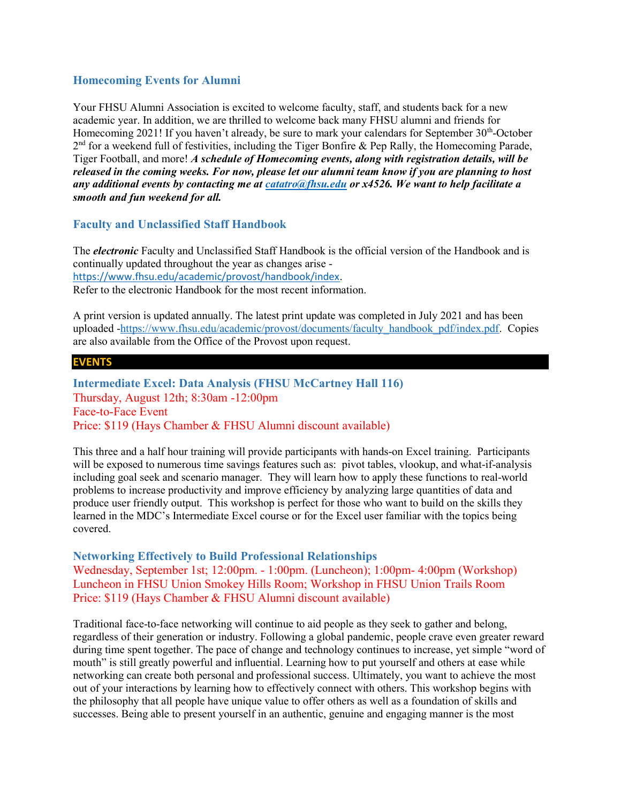# Homecoming Events for Alumni

Your FHSU Alumni Association is excited to welcome faculty, staff, and students back for a new academic year. In addition, we are thrilled to welcome back many FHSU alumni and friends for Homecoming 2021! If you haven't already, be sure to mark your calendars for September 30<sup>th</sup>-October 2<sup>nd</sup> for a weekend full of festivities, including the Tiger Bonfire & Pep Rally, the Homecoming Parade, Tiger Football, and more! A schedule of Homecoming events, along with registration details, will be released in the coming weeks. For now, please let our alumni team know if you are planning to host any additional events by contacting me at catatro@fhsu.edu or x4526. We want to help facilitate a smooth and fun weekend for all.

# Faculty and Unclassified Staff Handbook

The *electronic* Faculty and Unclassified Staff Handbook is the official version of the Handbook and is continually updated throughout the year as changes arise https://www.fhsu.edu/academic/provost/handbook/index. Refer to the electronic Handbook for the most recent information.

A print version is updated annually. The latest print update was completed in July 2021 and has been uploaded -https://www.fhsu.edu/academic/provost/documents/faculty\_handbook\_pdf/index.pdf. Copies are also available from the Office of the Provost upon request.

#### EVENTS

Intermediate Excel: Data Analysis (FHSU McCartney Hall 116) Thursday, August 12th; 8:30am -12:00pm Face-to-Face Event Price: \$119 (Hays Chamber & FHSU Alumni discount available)

This three and a half hour training will provide participants with hands-on Excel training. Participants will be exposed to numerous time savings features such as: pivot tables, vlookup, and what-if-analysis including goal seek and scenario manager. They will learn how to apply these functions to real-world problems to increase productivity and improve efficiency by analyzing large quantities of data and produce user friendly output. This workshop is perfect for those who want to build on the skills they learned in the MDC's Intermediate Excel course or for the Excel user familiar with the topics being covered.

## Networking Effectively to Build Professional Relationships

Wednesday, September 1st; 12:00pm. - 1:00pm. (Luncheon); 1:00pm- 4:00pm (Workshop) Luncheon in FHSU Union Smokey Hills Room; Workshop in FHSU Union Trails Room Price: \$119 (Hays Chamber & FHSU Alumni discount available)

Traditional face-to-face networking will continue to aid people as they seek to gather and belong, regardless of their generation or industry. Following a global pandemic, people crave even greater reward during time spent together. The pace of change and technology continues to increase, yet simple "word of mouth" is still greatly powerful and influential. Learning how to put yourself and others at ease while networking can create both personal and professional success. Ultimately, you want to achieve the most out of your interactions by learning how to effectively connect with others. This workshop begins with the philosophy that all people have unique value to offer others as well as a foundation of skills and successes. Being able to present yourself in an authentic, genuine and engaging manner is the most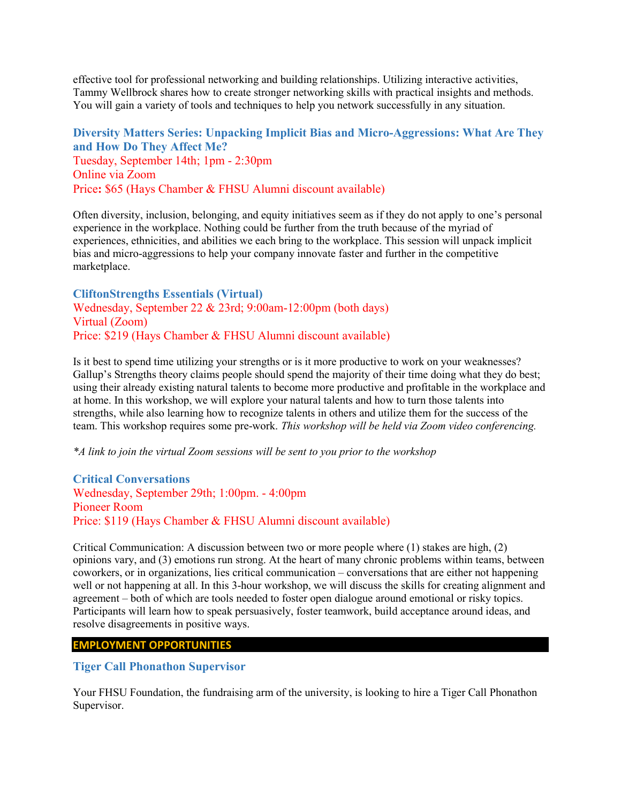effective tool for professional networking and building relationships. Utilizing interactive activities, Tammy Wellbrock shares how to create stronger networking skills with practical insights and methods. You will gain a variety of tools and techniques to help you network successfully in any situation.

# Diversity Matters Series: Unpacking Implicit Bias and Micro-Aggressions: What Are They and How Do They Affect Me? Tuesday, September 14th; 1pm - 2:30pm Online via Zoom Price: \$65 (Hays Chamber & FHSU Alumni discount available)

Often diversity, inclusion, belonging, and equity initiatives seem as if they do not apply to one's personal experience in the workplace. Nothing could be further from the truth because of the myriad of experiences, ethnicities, and abilities we each bring to the workplace. This session will unpack implicit bias and micro-aggressions to help your company innovate faster and further in the competitive marketplace.

CliftonStrengths Essentials (Virtual) Wednesday, September 22 & 23rd; 9:00am-12:00pm (both days) Virtual (Zoom) Price: \$219 (Hays Chamber & FHSU Alumni discount available)

Is it best to spend time utilizing your strengths or is it more productive to work on your weaknesses? Gallup's Strengths theory claims people should spend the majority of their time doing what they do best; using their already existing natural talents to become more productive and profitable in the workplace and at home. In this workshop, we will explore your natural talents and how to turn those talents into strengths, while also learning how to recognize talents in others and utilize them for the success of the team. This workshop requires some pre-work. This workshop will be held via Zoom video conferencing.

\*A link to join the virtual Zoom sessions will be sent to you prior to the workshop

Critical Conversations Wednesday, September 29th; 1:00pm. - 4:00pm Pioneer Room Price: \$119 (Hays Chamber & FHSU Alumni discount available)

Critical Communication: A discussion between two or more people where (1) stakes are high, (2) opinions vary, and (3) emotions run strong. At the heart of many chronic problems within teams, between coworkers, or in organizations, lies critical communication – conversations that are either not happening well or not happening at all. In this 3-hour workshop, we will discuss the skills for creating alignment and agreement – both of which are tools needed to foster open dialogue around emotional or risky topics. Participants will learn how to speak persuasively, foster teamwork, build acceptance around ideas, and resolve disagreements in positive ways.

#### EMPLOYMENT OPPORTUNITIES

## Tiger Call Phonathon Supervisor

Your FHSU Foundation, the fundraising arm of the university, is looking to hire a Tiger Call Phonathon Supervisor.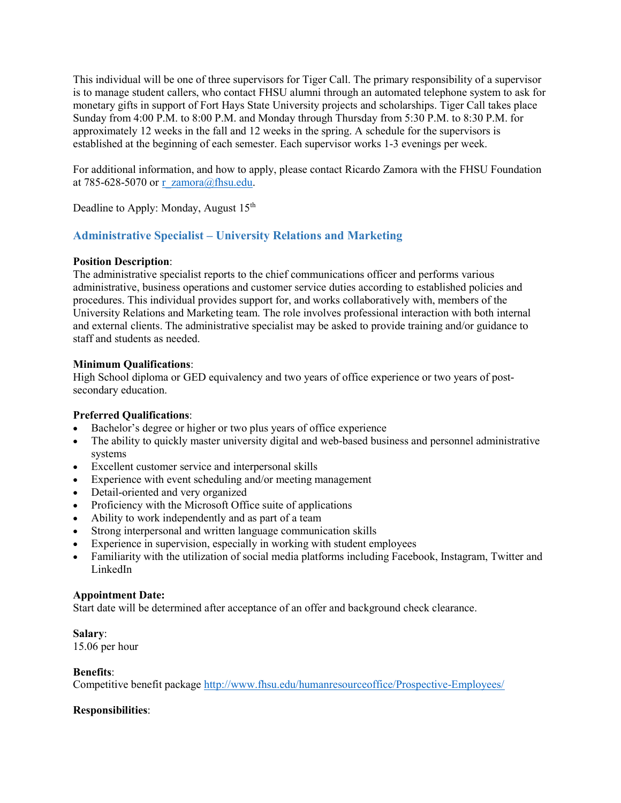This individual will be one of three supervisors for Tiger Call. The primary responsibility of a supervisor is to manage student callers, who contact FHSU alumni through an automated telephone system to ask for monetary gifts in support of Fort Hays State University projects and scholarships. Tiger Call takes place Sunday from 4:00 P.M. to 8:00 P.M. and Monday through Thursday from 5:30 P.M. to 8:30 P.M. for approximately 12 weeks in the fall and 12 weeks in the spring. A schedule for the supervisors is established at the beginning of each semester. Each supervisor works 1-3 evenings per week.

For additional information, and how to apply, please contact Ricardo Zamora with the FHSU Foundation at 785-628-5070 or r\_zamora@fhsu.edu.

Deadline to Apply: Monday, August 15<sup>th</sup>

# Administrative Specialist – University Relations and Marketing

# Position Description:

The administrative specialist reports to the chief communications officer and performs various administrative, business operations and customer service duties according to established policies and procedures. This individual provides support for, and works collaboratively with, members of the University Relations and Marketing team. The role involves professional interaction with both internal and external clients. The administrative specialist may be asked to provide training and/or guidance to staff and students as needed.

## Minimum Qualifications:

High School diploma or GED equivalency and two years of office experience or two years of postsecondary education.

# Preferred Qualifications:

- Bachelor's degree or higher or two plus years of office experience
- The ability to quickly master university digital and web-based business and personnel administrative systems
- Excellent customer service and interpersonal skills
- Experience with event scheduling and/or meeting management
- Detail-oriented and very organized
- Proficiency with the Microsoft Office suite of applications
- Ability to work independently and as part of a team
- Strong interpersonal and written language communication skills
- Experience in supervision, especially in working with student employees
- Familiarity with the utilization of social media platforms including Facebook, Instagram, Twitter and LinkedIn

## Appointment Date:

Start date will be determined after acceptance of an offer and background check clearance.

Salary: 15.06 per hour

## Benefits:

Competitive benefit package http://www.fhsu.edu/humanresourceoffice/Prospective-Employees/

## Responsibilities: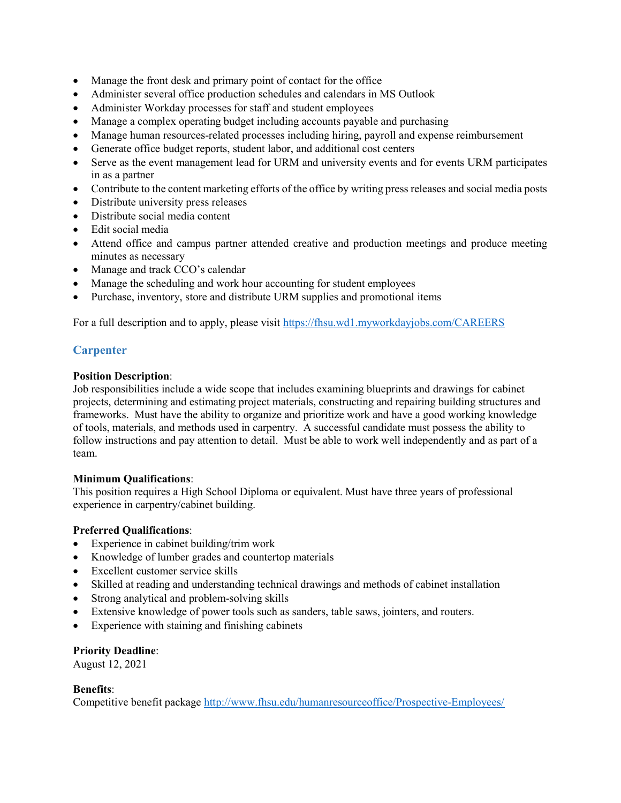- Manage the front desk and primary point of contact for the office
- Administer several office production schedules and calendars in MS Outlook
- Administer Workday processes for staff and student employees
- Manage a complex operating budget including accounts payable and purchasing
- Manage human resources-related processes including hiring, payroll and expense reimbursement
- Generate office budget reports, student labor, and additional cost centers
- Serve as the event management lead for URM and university events and for events URM participates in as a partner
- Contribute to the content marketing efforts of the office by writing press releases and social media posts
- Distribute university press releases
- Distribute social media content
- Edit social media
- Attend office and campus partner attended creative and production meetings and produce meeting minutes as necessary
- Manage and track CCO's calendar
- Manage the scheduling and work hour accounting for student employees
- Purchase, inventory, store and distribute URM supplies and promotional items

For a full description and to apply, please visit https://fhsu.wd1.myworkdayjobs.com/CAREERS

# **Carpenter**

## Position Description:

Job responsibilities include a wide scope that includes examining blueprints and drawings for cabinet projects, determining and estimating project materials, constructing and repairing building structures and frameworks. Must have the ability to organize and prioritize work and have a good working knowledge of tools, materials, and methods used in carpentry. A successful candidate must possess the ability to follow instructions and pay attention to detail. Must be able to work well independently and as part of a team.

## Minimum Qualifications:

This position requires a High School Diploma or equivalent. Must have three years of professional experience in carpentry/cabinet building.

# Preferred Qualifications:

- Experience in cabinet building/trim work
- Knowledge of lumber grades and countertop materials
- Excellent customer service skills
- Skilled at reading and understanding technical drawings and methods of cabinet installation
- Strong analytical and problem-solving skills
- Extensive knowledge of power tools such as sanders, table saws, jointers, and routers.
- Experience with staining and finishing cabinets

## Priority Deadline:

August 12, 2021

## Benefits:

Competitive benefit package http://www.fhsu.edu/humanresourceoffice/Prospective-Employees/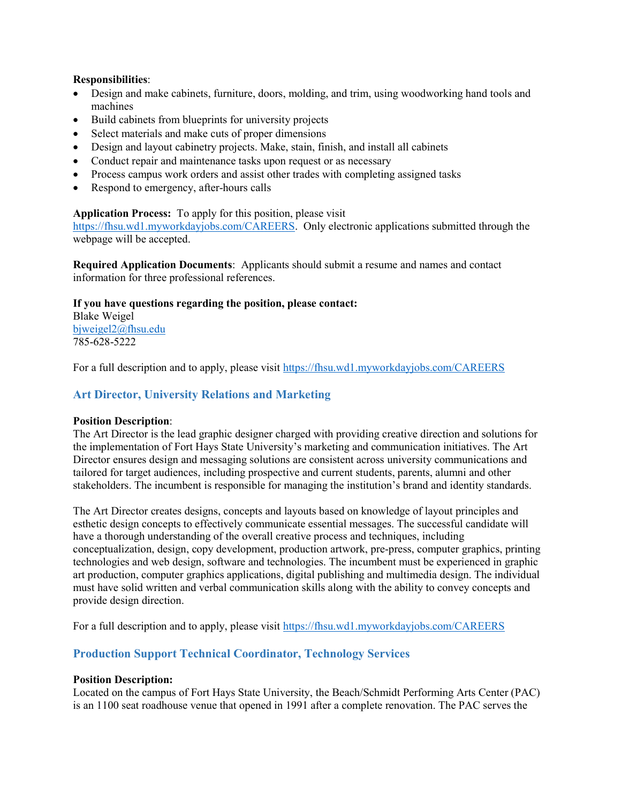## Responsibilities:

- Design and make cabinets, furniture, doors, molding, and trim, using woodworking hand tools and machines
- Build cabinets from blueprints for university projects
- Select materials and make cuts of proper dimensions
- Design and layout cabinetry projects. Make, stain, finish, and install all cabinets
- Conduct repair and maintenance tasks upon request or as necessary
- Process campus work orders and assist other trades with completing assigned tasks
- Respond to emergency, after-hours calls

## Application Process: To apply for this position, please visit

https://fhsu.wd1.myworkdayjobs.com/CAREERS. Only electronic applications submitted through the webpage will be accepted.

Required Application Documents: Applicants should submit a resume and names and contact information for three professional references.

# If you have questions regarding the position, please contact:

Blake Weigel bjweigel2@fhsu.edu 785-628-5222

For a full description and to apply, please visit https://fhsu.wd1.myworkdayjobs.com/CAREERS

# Art Director, University Relations and Marketing

## Position Description:

The Art Director is the lead graphic designer charged with providing creative direction and solutions for the implementation of Fort Hays State University's marketing and communication initiatives. The Art Director ensures design and messaging solutions are consistent across university communications and tailored for target audiences, including prospective and current students, parents, alumni and other stakeholders. The incumbent is responsible for managing the institution's brand and identity standards.

The Art Director creates designs, concepts and layouts based on knowledge of layout principles and esthetic design concepts to effectively communicate essential messages. The successful candidate will have a thorough understanding of the overall creative process and techniques, including conceptualization, design, copy development, production artwork, pre-press, computer graphics, printing technologies and web design, software and technologies. The incumbent must be experienced in graphic art production, computer graphics applications, digital publishing and multimedia design. The individual must have solid written and verbal communication skills along with the ability to convey concepts and provide design direction.

For a full description and to apply, please visit https://fhsu.wd1.myworkdayjobs.com/CAREERS

# Production Support Technical Coordinator, Technology Services

## Position Description:

Located on the campus of Fort Hays State University, the Beach/Schmidt Performing Arts Center (PAC) is an 1100 seat roadhouse venue that opened in 1991 after a complete renovation. The PAC serves the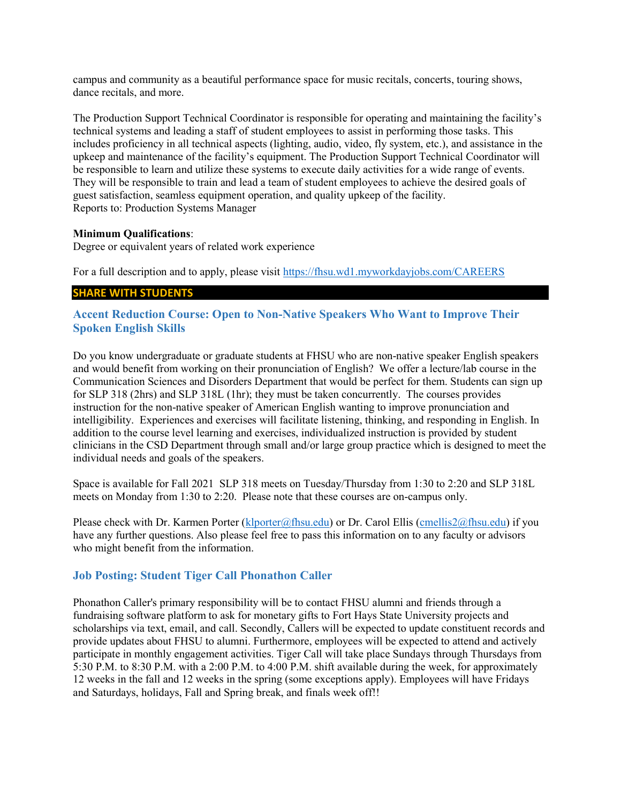campus and community as a beautiful performance space for music recitals, concerts, touring shows, dance recitals, and more.

The Production Support Technical Coordinator is responsible for operating and maintaining the facility's technical systems and leading a staff of student employees to assist in performing those tasks. This includes proficiency in all technical aspects (lighting, audio, video, fly system, etc.), and assistance in the upkeep and maintenance of the facility's equipment. The Production Support Technical Coordinator will be responsible to learn and utilize these systems to execute daily activities for a wide range of events. They will be responsible to train and lead a team of student employees to achieve the desired goals of guest satisfaction, seamless equipment operation, and quality upkeep of the facility. Reports to: Production Systems Manager

## Minimum Qualifications:

Degree or equivalent years of related work experience

For a full description and to apply, please visit https://fhsu.wd1.myworkdayjobs.com/CAREERS

## SHARE WITH STUDENTS

Accent Reduction Course: Open to Non-Native Speakers Who Want to Improve Their Spoken English Skills

Do you know undergraduate or graduate students at FHSU who are non-native speaker English speakers and would benefit from working on their pronunciation of English? We offer a lecture/lab course in the Communication Sciences and Disorders Department that would be perfect for them. Students can sign up for SLP 318 (2hrs) and SLP 318L (1hr); they must be taken concurrently. The courses provides instruction for the non-native speaker of American English wanting to improve pronunciation and intelligibility. Experiences and exercises will facilitate listening, thinking, and responding in English. In addition to the course level learning and exercises, individualized instruction is provided by student clinicians in the CSD Department through small and/or large group practice which is designed to meet the individual needs and goals of the speakers.

Space is available for Fall 2021 SLP 318 meets on Tuesday/Thursday from 1:30 to 2:20 and SLP 318L meets on Monday from 1:30 to 2:20. Please note that these courses are on-campus only.

Please check with Dr. Karmen Porter (klporter@fhsu.edu) or Dr. Carol Ellis (cmellis2@fhsu.edu) if you have any further questions. Also please feel free to pass this information on to any faculty or advisors who might benefit from the information.

## Job Posting: Student Tiger Call Phonathon Caller

Phonathon Caller's primary responsibility will be to contact FHSU alumni and friends through a fundraising software platform to ask for monetary gifts to Fort Hays State University projects and scholarships via text, email, and call. Secondly, Callers will be expected to update constituent records and provide updates about FHSU to alumni. Furthermore, employees will be expected to attend and actively participate in monthly engagement activities. Tiger Call will take place Sundays through Thursdays from 5:30 P.M. to 8:30 P.M. with a 2:00 P.M. to 4:00 P.M. shift available during the week, for approximately 12 weeks in the fall and 12 weeks in the spring (some exceptions apply). Employees will have Fridays and Saturdays, holidays, Fall and Spring break, and finals week off!!